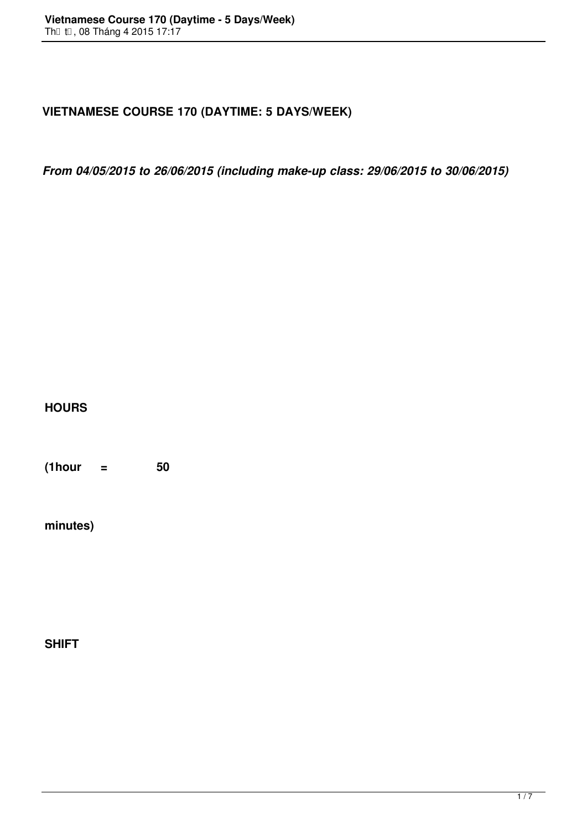## **VIETNAMESE COURSE 170 (DAYTIME: 5 DAYS/WEEK)**

*From 04/05/2015 to 26/06/2015 (including make-up class: 29/06/2015 to 30/06/2015)*

**HOURS**

**(1hour = 50**

**minutes)**

**SHIFT**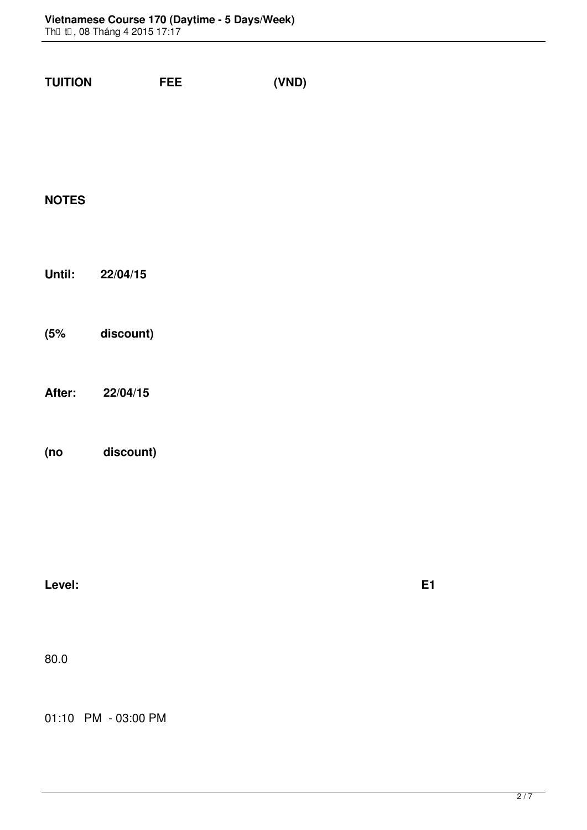| <b>TUITION</b><br><b>EXECUTE</b><br>(VND) |           |  |  |  |
|-------------------------------------------|-----------|--|--|--|
|                                           |           |  |  |  |
|                                           |           |  |  |  |
| <b>NOTES</b>                              |           |  |  |  |
|                                           |           |  |  |  |
| Until: 22/04/15                           |           |  |  |  |
|                                           |           |  |  |  |
| (5% discount)                             |           |  |  |  |
|                                           |           |  |  |  |
| After: 22/04/15                           |           |  |  |  |
|                                           |           |  |  |  |
| (no discount)                             |           |  |  |  |
|                                           |           |  |  |  |
|                                           |           |  |  |  |
| Level:                                    | <b>E1</b> |  |  |  |
|                                           |           |  |  |  |
| 80.0                                      |           |  |  |  |
|                                           |           |  |  |  |
|                                           |           |  |  |  |

01:10 PM - 03:00 PM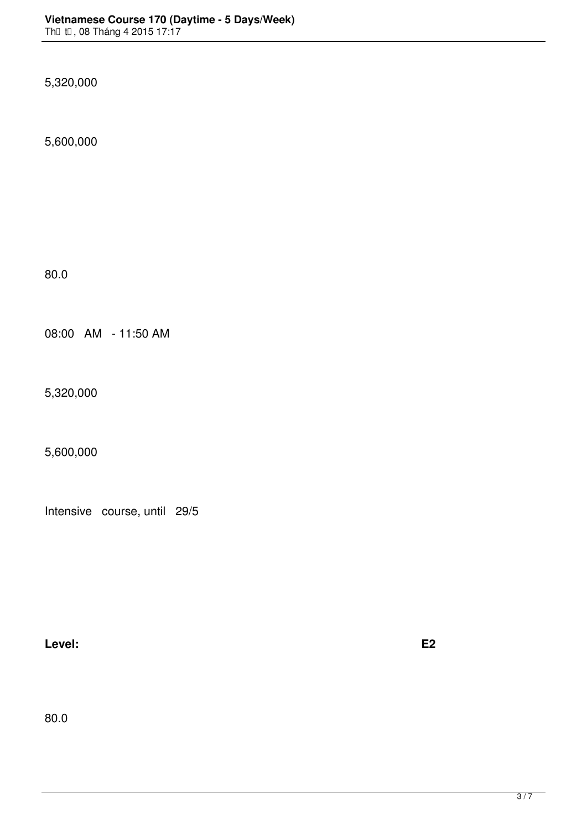5,320,000

5,600,000

80.0

08:00 AM - 11:50 AM

5,320,000

5,600,000

Intensive course, until 29/5

**Level: E2 (VSL1: lesson 7->12 + pronunciation unit 9)**

80.0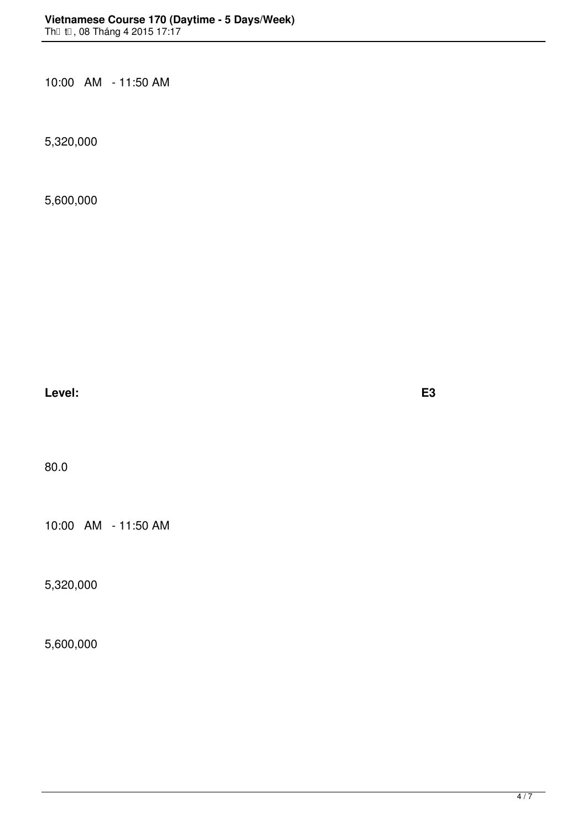10:00 AM - 11:50 AM

5,320,000

5,600,000

 $\epsilon$  **Level: E3 E3** 

80.0

10:00 AM - 11:50 AM

5,320,000

5,600,000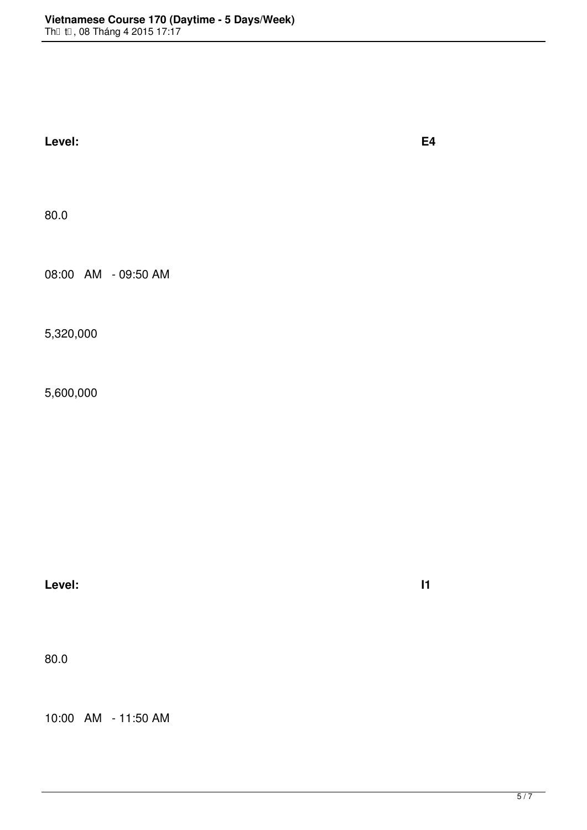| Level:              | <b>E4</b>  |  |  |
|---------------------|------------|--|--|
| 80.0                |            |  |  |
| 08:00 AM - 09:50 AM |            |  |  |
| 5,320,000           |            |  |  |
| 5,600,000           |            |  |  |
|                     |            |  |  |
|                     |            |  |  |
| Level:              | $\vert$ 11 |  |  |
|                     |            |  |  |

80.0

10:00 AM - 11:50 AM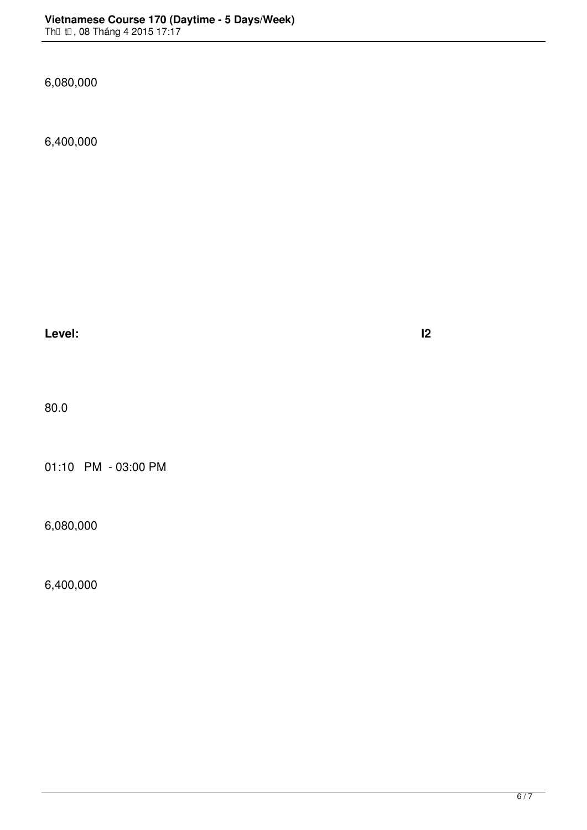6,080,000

6,400,000

**Level: I2 (VSL3: lesson 6->10 )**

80.0

01:10 PM - 03:00 PM

6,080,000

6,400,000